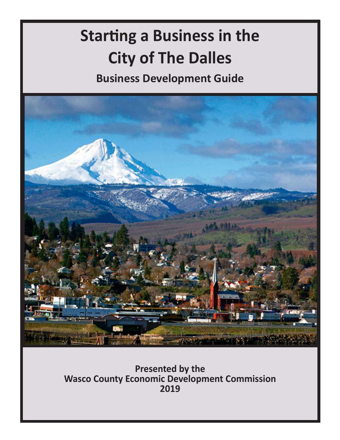# **Starting a Business in the City of The Dalles**

**Business Development Guide**



**Presented by the Wasco County Economic Development Commission 2019**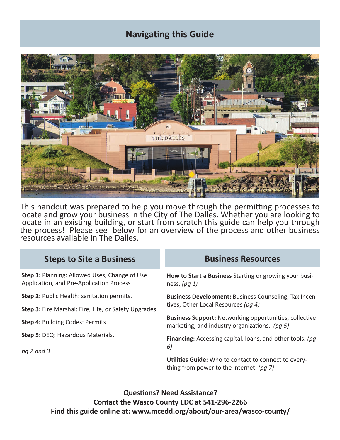# **Navigating this Guide**



This handout was prepared to help you move through the permitting processes to locate and grow your business in the City of The Dalles. Whether you are looking to locate in an existing building, or start from scratch this guide can help you through the process! Please see below for an overview of the process and other business resources available in The Dalles.

#### **Steps to Site a Business Business Resources**

**Step 1:** Planning: Allowed Uses, Change of Use Application, and Pre-Application Process

**Step 2:** Public Health: sanitation permits.

**Step 3:** Fire Marshal: Fire, Life, or Safety Upgrades

**Step 4:** Building Codes: Permits

**Step 5:** DEQ: Hazardous Materials.

*pg 2 and 3*

**How to Start a Business** Starting or growing your business, *(pg 1)*

**Business Development:** Business Counseling, Tax Incentives, Other Local Resources *(pg 4)*

**Business Support:** Networking opportunities, collective marketing, and industry organizations. *(pg 5)*

**Financing:** Accessing capital, loans, and other tools. *(pg 6)*

**Utilities Guide:** Who to contact to connect to everything from power to the internet. *(pg 7)*

**Questions? Need Assistance? Contact the Wasco County EDC at 541-296-2266 Find this guide online at: www.mcedd.org/about/our-area/wasco-county/**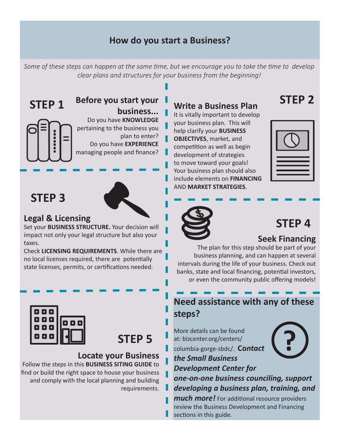# **How do you start a Business?**

*Some of these steps can happen at the same time, but we encourage you to take the time to develop clear plans and structures for your business from the beginning!*

**STEP 1**

#### **Before you start your business...**

Do you have **KNOWLEDGE** pertaining to the business you plan to enter? Do you have **EXPERIENCE** managing people and finance?

# **STEP 3**

## **Legal & Licensing**

Set your **BUSINESS STRUCTURE.** Your decision will impact not only your legal structure but also your taxes.

Check **LICENSING REQUIREMENTS**. While there are no local licenses required, there are potentially state licenses, permits, or certifications needed.



**STEP 5**

#### **Locate your Business**

Follow the steps in this **BUSINESS SITING GUIDE** to find or build the right space to house your business and comply with the local planning and building requirements.

# **Write a Business Plan**

It is vitally important to develop your business plan. This will help clarify your **BUSINESS OBJECTIVES**, market, and competition as well as begin development of strategies to move toward your goals! Your business plan should also include elements on **FINANCING** AND **MARKET STRATEGIES**.



**STEP 2**



# **STEP 4**

# **Seek Financing**

The plan for this step should be part of your business planning, and can happen at several intervals during the life of your business. Check out banks, state and local financing, potential investors, or even the community public offering models!

# **Need assistance with any of these steps?**

More details can be found at: bizcenter.org/centers/ columbia-gorge-sbdc/. **Co***ntact the Small Business* 



*Development Center for* 

*one-on-one business counciling, support developing a business plan, training, and* 

*much more!* For additional resource providers review the Business Development and Financing sections in this guide.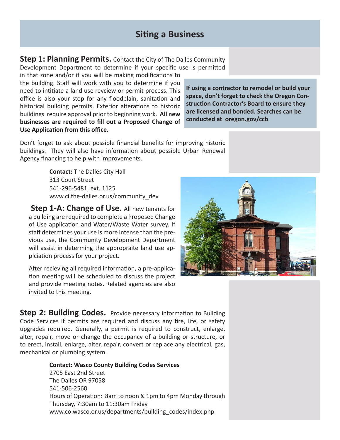### **Siting a Business**

**Step 1: Planning Permits.** Contact the City of The Dalles Community Development Department to determine if your specific use is permitted

in that zone and/or if you will be making modifications to the building. Staff will work with you to determine if you need to intitiate a land use revciew or permit process. This office is also your stop for any floodplain, sanitation and historical building permits. Exterior alterations to historic buildings require approval prior to beginning work. **All new businesses are required to fill out a Proposed Change of Use Application from this office.**

**If using a contractor to remodel or build your space, don't forget to check the Oregon Construction Contractor's Board to ensure they are licensed and bonded. Searches can be conducted at oregon.gov/ccb**

Don't forget to ask about possible financial benefits for improving historic buildings. They will also have information about possible Urban Renewal Agency financing to help with improvements.

> **Contact:** The Dalles City Hall 313 Court Street 541-296-5481, ext. 1125 www.ci.the-dalles.or.us/community\_dev

**Step 1-A: Change of Use.** All new tenants for a building are required to complete a Proposed Change of Use application and Water/Waste Water survey. If staff determines your use is more intense than the previous use, the Community Development Department will assist in determing the appropraite land use applciation process for your project.

After recieving all required information, a pre-application meeting will be scheduled to discuss the project and provide meeting notes. Related agencies are also invited to this meeting.

**Step 2: Building Codes.** Provide necessary information to Building Code Services if permits are required and discuss any fire, life, or safety upgrades required. Generally, a permit is required to construct, enlarge, alter, repair, move or change the occupancy of a building or structure, or to erect, install, enlarge, alter, repair, convert or replace any electrical, gas, mechanical or plumbing system.

> **Contact: Wasco County Building Codes Services** 2705 East 2nd Street The Dalles OR 97058 541-506-2560 Hours of Operation: 8am to noon & 1pm to 4pm Monday through Thursday, 7:30am to 11:30am Friday www.co.wasco.or.us/departments/building\_codes/index.php

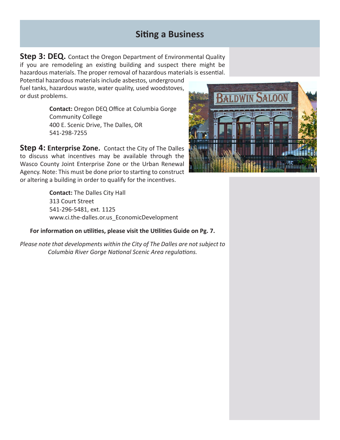## **Siting a Business**

**Step 3: DEQ.** Contact the Oregon Department of Environmental Quality if you are remodeling an existing building and suspect there might be hazardous materials. The proper removal of hazardous materials is essential.

Potential hazardous materials include asbestos, underground fuel tanks, hazardous waste, water quality, used woodstoves, or dust problems.

> **Contact:** Oregon DEQ Office at Columbia Gorge Community College 400 E. Scenic Drive, The Dalles, OR 541-298-7255

**Step 4: Enterprise Zone.** Contact the City of The Dalles to discuss what incentives may be available through the Wasco County Joint Enterprise Zone or the Urban Renewal Agency. Note: This must be done prior to starting to construct or altering a building in order to qualify for the incentives.

> **Contact:** The Dalles City Hall 313 Court Street 541-296-5481, ext. 1125 www.ci.the-dalles.or.us\_EconomicDevelopment

#### **For information on utilities, please visit the Utilities Guide on Pg. 7.**

*Please note that developments within the City of The Dalles are not subject to Columbia River Gorge National Scenic Area regulations.* 

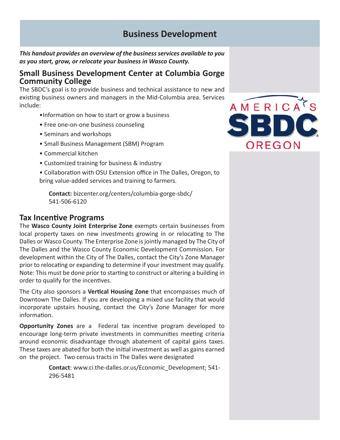### **Business Development**

*This handout provides an overview of the business services available to you as you start, grow, or relocate your business in Wasco County.* 

#### **Small Business Development Center at Columbia Gorge Community College**

The SBDC's goal is to provide business and technical assistance to new and existing business owners and managers in the Mid-Columbia area. Services include:

- •Information on how to start or grow a business
- Free one-on-one business counseling
- Seminars and workshops
- Small Business Management (SBM) Program
- Commercial kitchen
- Customized training for business & industry

• Collaboration with OSU Extension office in The Dalles, Oregon, to bring value-added services and training to farmers.

**Contact:** bizcenter.org/centers/columbia-gorge-sbdc/ 541-506-6120

#### **Tax Incentive Programs**

The **Wasco County Joint Enterprise Zone** exempts certain businesses from local property taxes on new investments growing in or relocating to The Dalles or Wasco County. The Enterprise Zone is jointly managed by The City of The Dalles and the Wasco County Economic Development Commission. For development within the City of The Dalles, contact the City's Zone Manager prior to relocating or expanding to determine if your investment may qualify. Note: This must be done prior to starting to construct or altering a building in order to qualify for the incentives.

The City also sponsors a **Vertical Housing Zone** that encompasses much of Downtown The Dalles. If you are developing a mixed use facility that would incorporate upstairs housing, contact the City's Zone Manager for more information.

**Opportunity Zones** are a Federal tax incentive program developed to encourage long-term private investments in communities meeting criteria around economic disadvantage through abatement of capital gains taxes. These taxes are abated for both the initial investment as well as gains earned on the project. Two census tracts in The Dalles were designated

> **Contact**: www.ci.the-dalles.or.us/Economic\_Development; 541- 296-5481

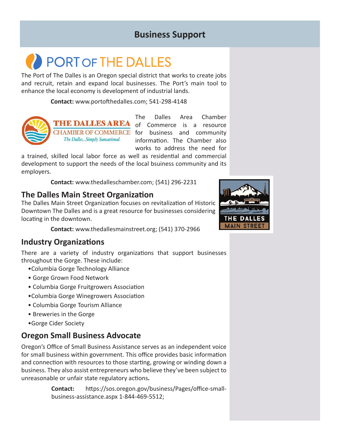# **Business Support**

# **PORT OF THE DALLES**

The Port of The Dalles is an Oregon special district that works to create jobs and recruit, retain and expand local businesses. The Port's main tool to enhance the local economy is development of industrial lands.

**Contact:** www.portofthedalles.com; 541-298-4148



THE DALLES AREA The Dalles... Simply Sunsational.

The Dalles Area Chamber of Commerce is a resource CHAMBER OF COMMERCE for business and community information. The Chamber also works to address the need for

a trained, skilled local labor force as well as residential and commercial development to support the needs of the local bsuiness community and its employers.

**Contact:** www.thedalleschamber.com; (541) 296-2231

#### **The Dalles Main Street Organization**

The Dalles Main Street Organization focuses on revitalization of Historic Downtown The Dalles and is a great resource for businesses considering locating in the downtown.

**Contact:** www.thedallesmainstreet.org; (541) 370-2966

#### **Industry Organizations**

There are a variety of industry organizations that support businesses throughout the Gorge. These include:

- •Columbia Gorge Technology Alliance
- Gorge Grown Food Network
- Columbia Gorge Fruitgrowers Association
- •Columbia Gorge Winegrowers Association
- Columbia Gorge Tourism Alliance
- Breweries in the Gorge
- •Gorge Cider Society

#### **Oregon Small Business Advocate**

Oregon's Office of Small Business Assistance serves as an independent voice for small business within government. This office provides basic information and connection with resources to those starting, growing or winding down a business. They also assist entrepreneurs who believe they've been subject to unreasonable or unfair state regulatory actions*.*

> **Contact:** https://sos.oregon.gov/business/Pages/office-smallbusiness-assistance.aspx 1-844-469-5512;

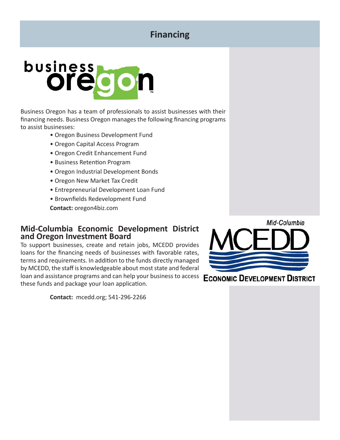# **Financing**



Business Oregon has a team of professionals to assist businesses with their financing needs. Business Oregon manages the following financing programs to assist businesses:

- Oregon Business Development Fund
- Oregon Capital Access Program
- Oregon Credit Enhancement Fund
- Business Retention Program
- Oregon Industrial Development Bonds
- Oregon New Market Tax Credit
- Entrepreneurial Development Loan Fund
- Brownfields Redevelopment Fund

**Contact:** oregon4biz.com

#### **Mid-Columbia Economic Development District and Oregon Investment Board**

To support businesses, create and retain jobs, MCEDD provides loans for the financing needs of businesses with favorable rates, terms and requirements. In addition to the funds directly managed by MCEDD, the staff is knowledgeable about most state and federal loan and assistance programs and can help your business to access these funds and package your loan application.

**Contact:** mcedd.org; 541-296-2266



#### **ECONOMIC DEVELOPMENT DISTRICT**